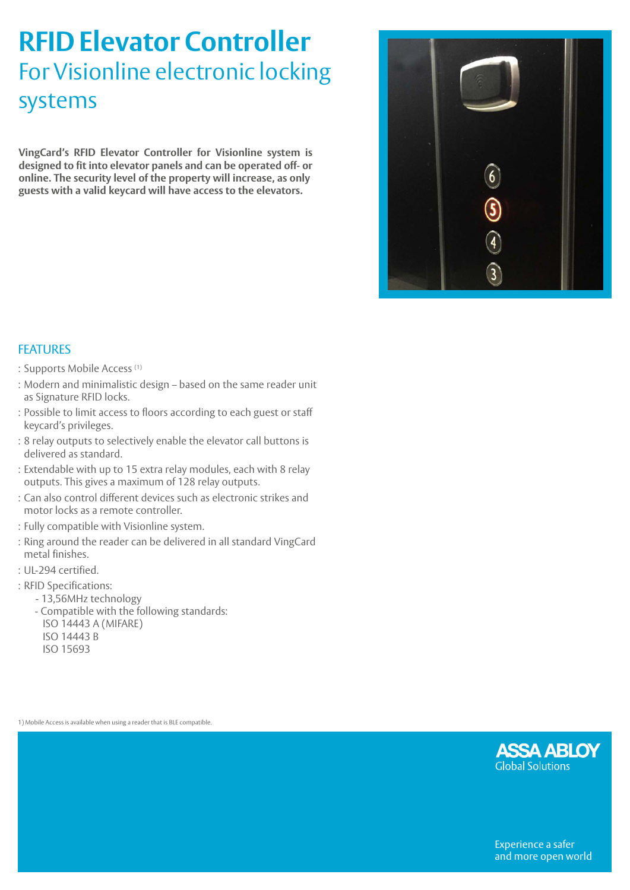## **RFID Elevator Controller**  For Visionline electronic locking systems

**VingCard's RFID Elevator Controller for Visionline system is designed to fit into elevator panels and can be operated off- or online. The security level of the property will increase, as only guests with a valid keycard will have access to the elevators.**



## FEATURES

- : Supports Mobile Access (1)
- : Modern and minimalistic design based on the same reader unit as Signature RFID locks.
- : Possible to limit access to floors according to each guest or staff keycard's privileges.
- : 8 relay outputs to selectively enable the elevator call buttons is delivered as standard.
- : Extendable with up to 15 extra relay modules, each with 8 relay outputs. This gives a maximum of 128 relay outputs.
- : Can also control different devices such as electronic strikes and motor locks as a remote controller.
- : Fully compatible with Visionline system.
- : Ring around the reader can be delivered in all standard VingCard metal finishes.
- : UL-294 certified.
- : RFID Specifications:
	- 13,56MHz technology
	- Compatible with the following standards: ISO 14443 A (MIFARE) ISO 14443 B
		- ISO 15693

1) Mobile Access is available when using a reader that is BLE compatible.